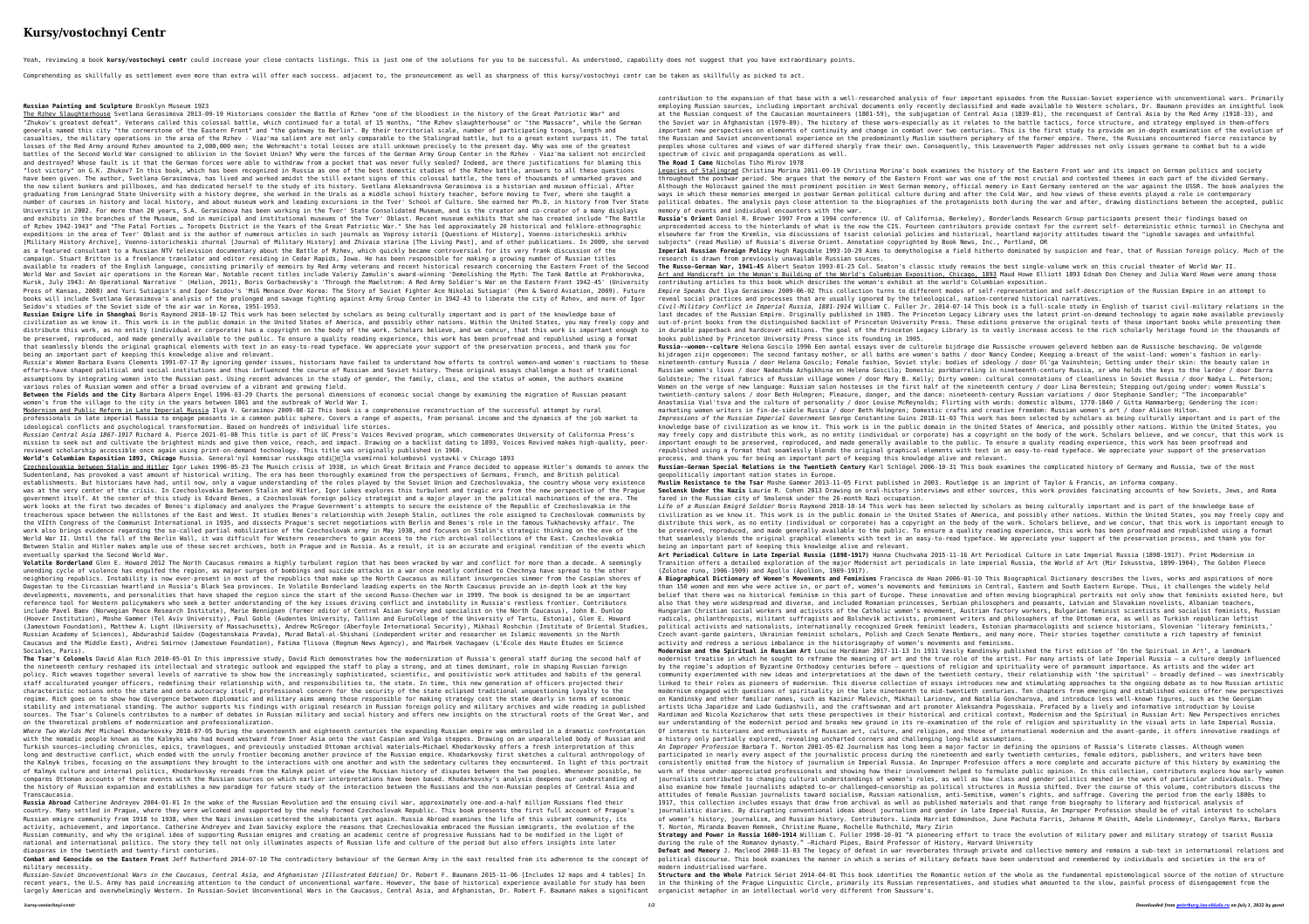## **Kursy/vostochnyi Centr**

Yeah, reviewing a book kursy/vostochnyi centr could increase your close contacts listings. This is just one of the solutions for you to be successful. As understood, capability does not suggest that you have extraordinary

Comprehending as skillfully as settlement even more than extra will offer each success. adjacent to, the pronouncement as well as sharpness of this kursy/vostochnyi centr can be taken as skillfully as picked to act.

Russian Emigre Life in Shanghai Boris Raymond 2018-10-12 This work has been selected by scholars as being culturally important and is part of the knowledge base of be preserved, reproduced, and made generally available to the public. To ensure a quality reading experience, this work has been proofread and republished using a format that seamlessly blends the original graphical elements with text in an easy-to-read typeface. We appreciate your support of the preservation process, and thank you for being an important part of keeping this knowledge alive and relevant.

Modernism and Public Reform in Late Imperial Russia Ilya V. Gerasimov 2009-08-12 This book is a comprehensive reconstruction of the successful attempt by rural professionals in late imperial Russia to engage peasants in a common public sphere. Covers a range of aspects, from personal income and the dynamics of the job market to ideological conflicts and psychological transformation. Based on hundreds of individual life stories.

*Russian Central Asia 1867-1917* Richard A. Pierce 2021-01-08 This title is part of UC Press's Voices Revived program, which commemorates University of California Press's mission to seek out and cultivate the brightest minds and give them voice, reach, and impact. Drawing on a backlist dating to 1893, Voices Revived makes high-quality, peerreviewed scholarship accessible once again using print-on-demand technology. This title was originally published in 1960. World's Columbian Exposition 1893, Chicago Russia. General'nyĭ kommisar russkago otdi∏e∏la vsemïrnoĭ kolumbovoĭ vystavki v Chicago 1893

*Russia's Women* Barbara Evans Clements 1991-07-17 By ignoring gender issues, historians have failed to understand how efforts to control women—and women's reactions to these efforts—have shaped political and social institutions and thus influenced the course of Russian and Soviet history. These original essays challenge a host of traditional assumptions by integrating women into the Russian past. Using recent advances in the study of gender, the family, class, and the status of women, the authors examine various roles of Russian women and offer a broad overview of a vibrant and growing field.

**Between the Fields and the City** Barbara Alpern Engel 1996-03-29 Charts the personal dimensions of economic social change by examining the migration of Russian peasant women's from the village to the city in the years between 1861 and the outbreak of World War I.

**Russian Painting and Sculpture** Brooklyn Museum 1923 The Rzhev Slaughterhouse Svetlana Gerasimova 2013-09-19 Historians consider the Battle of Rzhev "one of the bloodiest in the history of the Great Patriotic War" and "Zhukov's greatest defeat". Veterans called this colossal battle, which continued for a total of 15 months, "the Rzhev slaughterhouse" or "the Massacre", while the German generals named this city "the cornerstone of the Eastern Front" and "the gateway to Berlin". By their territorial scale, number of participating troops, length and casualties, the military operations in the area of the Rzhev - Viaz'ma salient are not only comparable to the Stalingrad battle, but to a great extent surpass it. The total losses of the Red Army around Rzhev amounted to 2,000,000 men; the Wehrmacht's total losses are still unknown precisely to the present day. Why was one of the greatest battles of the Second World War consigned to oblivion in the Soviet Union? Why were the forces of the German Army Group Center in the Rzhev - Viaz'ma salient not encircled and destroyed? Whose fault is it that the German forces were able to withdraw from a pocket that was never fully sealed? Indeed, are there justifications for blaming this "lost victory" on G.K. Zhukov? In this book, which has been recognized in Russia as one of the best domestic studies of the Rzhev battle, answers to all these questions have been given. The author, Svetlana Gerasimova, has lived and worked amidst the still extant signs of this colossal battle, the tens of thousands of unmarked graves and the now silent bunkers and pillboxes, and has dedicated herself to the study of its history. Svetlana Aleksandrovna Gerasimova is a historian and museum official. After graduating from Leningrad State University with a history degree, she worked in the Urals as a middle school history teacher, before moving to Tver, where she taught a number of courses in history and local history, and about museum work and leading excursions in the Tver' School of Culture. She earned her Ph.D. in history from Tver State University in 2002. For more than 20 years, S.A. Gerasimova has been working in the Tver' State Consolidated Museum, and is the creator and co-creator of a many displays and exhibits in the branches of the Museum, and in municipal and institutional museums of the Tver' Oblast. Recent museum exhibits that she has created include "The Battle of Rzhev 1942-1943" and "The Fatal Forties … Toropets District in the Years of the Great Patriotic War." She has led approximately 20 historical and folklore-ethnographic expeditions in the area of Tver' Oblast and is the author of numerous articles in such journals as Voprosy istorii [Questions of History], Voenno-istoricheskii arkhiv [Military History Archive], Voenno-istoricheskii zhurnal [Journal of Military History] and Zhivaia starina [The Living Past], and of other publications. In 2009, she served as a featured consultant to a Russian NTV television documentary about the Battle of Rzhev, which quickly became controversial for its very frank discussion of the campaign. Stuart Britton is a freelance translator and editor residing in Cedar Rapids, Iowa. He has been responsible for making a growing number of Russian titles available to readers of the English language, consisting primarily of memoirs by Red Army veterans and recent historical research concerning the Eastern Front of the Second World War and Soviet air operations in the Korean War. Notable recent titles include Valeriy Zamulin's award-winning 'Demolishing the Myth: The Tank Battle at Prokhorovka, Kursk, July 1943: An Operational Narrative ' (Helion, 2011), Boris Gorbachevsky's 'Through the Maelstrom: A Red Army Soldier's War on the Eastern Front 1942-45' (University Press of Kansas, 2008) and Yuri Sutiagin's and Igor Seidov's 'MiG Menace Over Korea: The Story of Soviet Fighter Ace Nikolai Sutiagin' (Pen & Sword Aviation, 2009). Future books will include Svetlana Gerasimova's analysis of the prolonged and savage fighting against Army Group Center in 1942-43 to liberate the city of Rzhev, and more of Igor Seidov's studies of the Soviet side of the air war in Korea, 1951-1953. civilization as we know it. This work is in the public domain in the United States of America, and possibly other nations. Within the United States, you may freely copy and distribute this work, as no entity (individual or corporate) has a copyright on the body of the work. Scholars believe, and we concur, that this work is important enough to contribution to the expansion of that base with a well-researched analysis of four important episodes from the Russian-Soviet experience with unconventional wars. Primarily employing Russian sources, including important archival documents only recently declassified and made available to Western scholars, Dr. Baumann provides an insightful look at the Russian conquest of the Caucasian mountaineers (1801-59), the subjugation of Central Asia (1839-81), the reconquest of Central Asia by the Red Army (1918-33), and the Soviet war in Afghanistan (1979-89). The history of these wars—especially as it relates to the battle tactics, force structure, and strategy employed in them—offers important new perspectives on elements of continuity and change in combat over two centuries. This is the first study to provide an in-depth examination of the evolution of the Russian and Soviet unconventional experience on the predominantly Muslim southern periphery of the former empire. There, the Russians encountered fierce resistance by peoples whose cultures and views of war differed sharply from their own. Consequently, this Leavenworth Paper addresses not only issues germane to combat but to a wide spectrum of civic and propaganda operations as well. **The Road I Came** Nicholas Tiho Mirov 1978 Legacies of Stalingrad Christina Morina 2011-09-19 Christina Morina's book examines the history of the Eastern Front war and its impact on German politics and society throughout the postwar period. She argues that the memory of the Eastern Front war was one of the most crucial and contested themes in each part of the divided Germany. Although the Holocaust gained the most prominent position in West German memory, official memory in East Germany centered on the war against the USSR. The book analyzes the ways in which these memories emerged in postwar German political culture during and after the Cold War, and how views of these events played a role in contemporary political debates. The analysis pays close attention to the biographies of the protagonists both during the war and after, drawing distinctions between the accepted, public memory of events and individual encounters with the war. **Russia's Orient** Daniel R. Brower 1997 From a 1994 conference (U. of California, Berkeley), Borderlands Research Group participants present their findings based on unprecedented access to the hinterlands of what is the now the CIS. Fourteen contributors provide context for the current self- deterministic ethnic turmoil in Chechyna and elsewhere far from the Kremlin, via discussions of tsarist colonial policies and historical, heartland majority attitudes toward the "ignoble savages and unfaithful subjects" (read Muslim) of Russia's diverse Orient. Annotation copyrighted by Book News, Inc., Portland, OR **Imperial Russian Foreign Policy** Hugh Ragsdale 1993-10-29 Aims to demythologise a field hitherto dominated by suspicion and fear, that of Russian foreign policy. Much of the research is drawn from previously unavailable Russian sources. **The Russo-German War, 1941-45** Albert Seaton 1993-01-25 Col. Seaton's classic study remains the best single-volume work on this crucial theater of World War II. Art and Handicraft in the Woman's Building of the World's Columbian Exposition, Chicago, 1893 Maud Howe Elliott 1893 Ednah Don Cheney and Julia Ward Howe were among those contributing articles to this book which describes the woman's exhibit at the world's Columbian exposition. *Empire Speaks Out* Ilya Gerasimov 2009-06-02 This collection turns to different modes of self-representation and self-description of the Russian Empire in an attempt to reveal social practices and processes that are usually ignored by the teleological, nation-centered historical narratives. *Civil-Military Conflict in Imperial Russia, 1881-1914* William C. Fuller Jr. 2014-07-14 This book is a full-scale study in English of tsarist civil-military relations in the last decades of the Russian Empire. Originally published in 1985. The Princeton Legacy Library uses the latest print-on-demand technology to again make available previously out-of-print books from the distinguished backlist of Princeton University Press. These editions preserve the original texts of these important books while presenting them in durable paperback and hardcover editions. The goal of the Princeton Legacy Library is to vastly increase access to the rich scholarly heritage found in the thousands of books published by Princeton University Press since its founding in 1905.

**The Tsar's Colonels** David Alan Rich 2010-05-01 In this impressive study, David Rich demonstrates how the modernization of Russia's general staff during the second half of the nineteenth century reshaped its intellectual and strategic outlook and equipped the staff to play a strong, and at times dominant, role in shaping Russian foreign policy. Rich weaves together several levels of narrative to show how the increasingly sophisticated, scientific, and positivistic work attitudes and habits of the general staff acculturated younger officers, redefining their relationship with, and responsibilities to, the state. In time, this new generation of officers projected their characteristic notions onto the state and onto autocracy itself; professional concern for the security of the state eclipsed traditional unquestioning loyalty to the regime. Rich goes on to show how divergence between diplomatic and military aims among those responsible for making strategy cost the state dearly in terms of economic stability and international standing. The author supports his findings with original research in Russian foreign policy and military archives and wide reading in published on the theoretical problems of modernization and professionalization.

Czechoslovakia between Stalin and Hitler</u> Igor Lukes 1996-05-23 The Munich crisis of 1938, in which Great Britain and France decided to appease Hitler's demands to annex the Russian-German Special Relations in the Twentiet Sudentenland, has provoked a vast amount of historical writing. The era has been thoroughly examined from the perspectives of Germans, French, and British political establishments. But historians have had, until now, only a vague understanding of the roles played by the Soviet Union and Czechoslovakia, the country whose very existence was at the very center of the crisis. In Czechoslovakia Between Stalin and Hitler, Igor Lukes explores this turbulent and tragic era from the new perspective of the Prague government itself. At the center of this study is Edvard Benes, a Czechoslovak foreign policy strategist and a major player in the political machinations of the era. The work looks at the first two decades of Benes's diplomacy and analyzes the Prague Government's attempts to secure the existence of the Republic of Czechoslovakia in the treacherous space between the millstones of the East and West. It studies Benes's relationship with Joseph Stalin, outlines the role assigned to Czechoslovak communists by the VIIth Congress of the Communist International in 1935, and dissects Prague's secret negotiations with Berlin and Benes's role in the famous Tukhachevsky affair. The work also brings evidence regarding the so-called partial mobilization of the Czechoslovak army in May 1938, and focuses on Stalin's strategic thinking on the eve of the World War II. Until the fall of the Berlin Wall, it was difficult for Western researchers to gain access to the rich archival collections of the East. Czechoslovakia Between Stalin and Hitler makes ample use of these secret archives, both in Prague and in Russia. As a result, it is an accurate and original rendition of the events which eventually sparked the Second World War. **Volatile Borderland** Glen E. Howard 2012 The North Caucasus remains a highly turbulent region that has been wracked by war and conflict for more than a decade. A seemingly geopolitically important nation states in Europe. **Muslim Resistance to the Tsar** Moshe Gammer 2013-11-05 First published in 2003. Routledge is an imprint of Taylor & Francis, an informa company. **Smolensk Under the Nazis** Laurie R. Cohen 2013 Drawing on oral-history interviews and other sources, this work provides fascinating accounts of how Soviets, Jews, and Roma fared in the Russian city of Smolensk under the 26-month Nazi occupation. *Life of a Russian Emigré Soldier* Boris Raymond 2018-10-14 This work has been selected by scholars as being culturally important and is part of the knowledge base of civilization as we know it. This work is in the public domain in the United States of America, and possibly other nations. Within the United States, you may freely copy and distribute this work, as no entity (individual or corporate) has a copyright on the body of the work. Scholars believe, and we concur, that this work is important enough to be preserved, reproduced, and made generally available to the public. To ensure a quality reading experience, this work has been proofread and republished using a format that seamlessly blends the original graphical elements with text in an easy-to-read typeface. We appreciate your support of the preservation process, and thank you for being an important part of keeping this knowledge alive and relevant. **Art Periodical Culture in Late Imperial Russia (1898-1917)** Hanna Chuchvaha 2015-11-16 Art Periodical Culture in Late Imperial Russia (1898-1917). Print Modernism in Transition offers a detailed exploration of the major Modernist art periodicals in late imperial Russia, the World of Art (Mir Iskusstva, 1899-1904), The Golden Fleece

**Russia Abroad** Catherine Andreyev 2004-01-01 In the wake of the Russian Revolution and the ensuing civil war, approximately one-and-a-half million Russians fled their Russian emigre community from 1918 to 1938, when the Nazi invasion scattered the inhabitants yet again. Russia Abroad examines the life of this vibrant community, its Russian community, and why the original idea of supporting Russian emigres and creating an academic centre of progressive Russians had to be modified in the light of national and international politics. The story they tell not only illuminates aspects of Russian life and culture of the period but also offers insights into later diasporas in the twentieth and twenty-first centuries.

**Combat and Genocide on the Eastern Front** Jeff Rutherford 2014-07-10 The contradictory behaviour of the German Army in the east resulted from its adherence to the concept of military necessity.

unending cycle of violence has engulfed the region, as major surges of bombings and suicide attacks in a war once neatly confined to Chechnya have spread to the other neighboring republics. Instability is now ever-present in most of the republics that make up the North Caucasus as militant insurgencies simmer from the Caspian shores of Dagestan to the Circassian heartland in Russia's Black Sea provinces. In Volatile Borderland leading experts on the North Caucasus provide an in-depth look at the key developments, movements, and personalities that have shaped the region since the start of the second Russo-Chechen war in 1999. The book is designed to be an important reference tool for Western policymakers who seek a better understanding of the key issues driving conflict and instability in Russia's restless frontier. Contributors include Pavel Baev (Norwegian Peace Research Institute), Marie Bennigsen (former editor of Central Asian Survey and specialist on the North Caucasus), John B. Dunlop (Hoover Institution), Moshe Gammer (Tel Aviv University), Paul Goble (Audentes University, Tallinn and EuroCollege of the University of Tartu, Estonia), Glen E. Howard (Jamestown Foundation), Matthew A. Light (University of Massachusetts), Andrew McGregor (Aberfoyle International Security), Mikhail Roshchin (Institute of Oriental Studies, Russian Academy of Sciences), Abdurashid Saidov (Dagestanskaia Pravda), Murad Batal-al-Shishani (independent writer and researcher on Islamic movements in the North Caucasus and the Middle East), Andrei Smirnov (Jamestown Foundation), Fatima Tlisova (Regnum News Agency), and Mairbek Vachagaev (L'École des Haute Études en Science Sociales, Paris). sources. The Tsar's Colonels contributes to a number of debates in Russian military and social history and offers new insights on the structural roots of the Great War, and *Where Two Worlds Met* Michael Khodarkovsky 2018-07-05 During the seventeenth and eighteenth centuries the expanding Russian empire was embroiled in a dramatic confrontation with the nomadic people known as the Kalmyks who had moved westward from Inner Asia onto the vast Caspian and Volga steppes. Drawing on an unparalleled body of Russian and Turkish sources—including chronicles, epics, travelogues, and previously unstudied Ottoman archival materials—Michael Khodarkovsky offers a fresh interpretation of this long and destructive conflict, which ended with the unruly frontier becoming another province of the Russian empire. Khodarkovsky first sketches a cultural anthropology of the Kalmyk tribes, focusing on the assumptions they brought to the interactions with one another and with the sedentary cultures they encountered. In light of this portrait of Kalmyk culture and internal politics, Khodarkovsky rereads from the Kalmyk point of view the Russian history of disputes between the two peoples. Whenever possible, he compares Ottoman accounts of these events with the Russian sources on which earlier interpretations have been based. Khodarkovsky's analysis deepens our understanding of the history of Russian expansion and establishes a new paradigm for future study of the interaction between the Russians and the non-Russian peoples of Central Asia and Transcaucasia. country. Many settled in Prague, where they were welcomed and supported by the newly formed Czechoslovak Republic. This book presents the first full account of Prague's activity, achievement, and importance. Catherine Andreyev and Ivan Savicky explore the reasons that Czechoslovakia embraced the Russian immigrants, the evolution of the (Zolotoe runo, 1906-1909) and Apollo (Apollon, 1909-1917). **A Biographical Dictionary of Women's Movements and Feminisms** Francisca de Haan 2006-01-10 This Biographical Dictionary describes the lives, works and aspirations of more than 150 women and men who were active in, or part of, women's movements and feminisms in Central, Eastern and South Eastern Europe. Thus, it challenges the widely held belief that there was no historical feminism in this part of Europe. These innovative and often moving biographical portraits not only show that feminists existed here, but also that they were widespread and diverse, and included Romanian princesses, Serbian philosophers and peasants, Latvian and Slovakian novelists, Albanian teachers, Hungarian Christian social workers and activists of the Catholic women's movement, Austrian factory workers, Bulgarian feminist scientists and socialist feminists, Russian radicals, philanthropists, militant suffragists and Bolshevik activists, prominent writers and philosophers of the Ottoman era, as well as Turkish republican leftist political activists and nationalists, internationally recognized Greek feminist leaders, Estonian pharmacologists and science historians, Slovenian 'literary feminists,' Czech avant-garde painters, Ukrainian feminist scholars, Polish and Czech Senate Members, and many more. Their stories together constitute a rich tapestry of feminist activity and redress a serious imbalance in the historiography of women's movements and feminisms. **Modernism and the Spiritual in Russian Art** Louise Hardiman 2017-11-13 In 1911 Vasily Kandinsky published the first edition of 'On the Spiritual in Art', a landmark modernist treatise in which he sought to reframe the meaning of art and the true role of the artist. For many artists of late Imperial Russia – a culture deeply influenced by the regime's adoption of Byzantine Orthodoxy centuries before – questions of religion and spirituality were of paramount importance. As artists and the wider art community experimented with new ideas and interpretations at the dawn of the twentieth century, their relationship with 'the spiritual' – broadly defined – was inextricably linked to their roles as pioneers of modernism. This diverse collection of essays introduces new and stimulating approaches to the ongoing debate as to how Russian artistic modernism engaged with questions of spirituality in the late nineteenth to mid-twentieth centuries. Ten chapters from emerging and established voices offer new perspectives on Kandinsky and other familiar names, such as Kazimir Malevich, Mikhail Larionov, and Natalia Goncharova, and introduce less well-known figures, such as the Georgian artists Ucha Japaridze and Lado Gudiashvili, and the craftswoman and art promoter Aleksandra Pogosskaia. Prefaced by a lively and informative introduction by Louise Hardiman and Nicola Kozicharow that sets these perspectives in their historical and critical context, Modernism and the Spiritual in Russian Art: New Perspectives enriches our understanding of the modernist period and breaks new ground in its re-examination of the role of religion and spirituality in the visual arts in late Imperial Russia. Of interest to historians and enthusiasts of Russian art, culture, and religion, and those of international modernism and the avant-garde, it offers innovative readings of a history only partially explored, revealing uncharted corners and challenging long-held assumptions. *An Improper Profession* Barbara T. Norton 2001-05-02 Journalism has long been a major factor in defining the opinions of Russia's literate classes. Although women participated in nearly every aspect of the journalistic process during the nineteenth and early twentieth centuries, female editors, publishers, and writers have been consistently omitted from the history of journalism in Imperial Russia. An Improper Profession offers a more complete and accurate picture of this history by examining the work of these under-appreciated professionals and showing how their involvement helped to formulate public opinion. In this collection, contributors explore how early women journalists contributed to changing cultural understandings of women's roles, as well as how class and gender politics meshed in the work of particular individuals. They also examine how female journalists adapted to—or challenged—censorship as political structures in Russia shifted. Over the course of this volume, contributors discuss the attitudes of female Russian journalists toward socialism, Russian nationalism, anti-Semitism, women's rights, and suffrage. Covering the period from the early 1800s to 1917, this collection includes essays that draw from archival as well as published materials and that range from biography to literary and historical analysis of journalistic diaries. By disrupting conventional ideas about journalism and gender in late Imperial Russia, An Improper Profession should be of vital interest to scholars of women's history, journalism, and Russian history. Contributors. Linda Harriet Edmondson, June Pachuta Farris, Jehanne M Gheith, Adele Lindenmeyr, Carolyn Marks, Barbara T. Norton, Miranda Beaven Remnek, Christine Ruane, Rochelle Ruthchild, Mary Zirin **Strategy and Power in Russia 1600-1914** William C. Fuller 1998-10-01 "A pioneering effort to trace the evolution of military power and military strategy of tsarist Russia during the rule of the Romanov dynasty." —Richard Pipes, Baird Professor of History, Harvard University

**Russia--women--culture** Helena Goscilo 1996 Een aantal essays over de culturele bijdrage die Russische vrouwen geleverd hebben aan de Russische beschaving. De volgende bijdragen zijn opgenomen: The second fantasy mother, or all baths are women's baths / door Nancy Condee; Keeping a-breast of the waist-land: women's fashion in earlynineteenth-century Russia / door Helena Goscilo; Female fashion, Soviet style: bodies of ideology / door Ol'ga Vainshtein; Getting under their skin: the beauty salon in Russian women's lives / door Nadezhda Azhgikhina en Helena Goscilo; Domestic porkbarreling in nineteenth-century Russia, or who holds the keys to the larder / door Darra Goldstein; The ritual fabrics of Russian village women / door Mary B. Kelly; Dirty women: cultural connotations of cleanliness in Soviet Russia / door Nadya L. Peterson; Women on the verge of new language: Russian salon hostesses in the first half of the nineteenth century / door Lina Bernstein; Stepping out/going under: women Russia's twentieth-century salons / door Beth Holmgren; Pleasure, danger, and the dance: nineteenth-century Russian variations / door Stephanie Sandler; "The incomparable" Anastasiia Vial'tsva and the culture of personality / door Louise McReynolds; Flirting with words: domestic albums, 1770-1840 / Gitta Hammarberg; Gendering the icon: marketing women writers in fin-de-siècle Russia / door Beth Holmgren; Domestic crafts and creative freedom: Russian women's art / door Alison Hilton. *Impressions of the Russian Imperial Government* George Constantine Guins 2018-11-03 This work has been selected by scholars as being culturally important and is part of the knowledge base of civilization as we know it. This work is in the public domain in the United States of America, and possibly other nations. Within the United States, you may freely copy and distribute this work, as no entity (individual or corporate) has a copyright on the body of the work. Scholars believe, and we concur, that this work is important enough to be preserved, reproduced, and made generally available to the public. To ensure a quality reading experience, this work has been proofread and republished using a format that seamlessly blends the original graphical elements with text in an easy-to-read typeface. We appreciate your support of the preservation process, and thank you for being an important part of keeping this knowledge alive and relevant.

*Russian-Soviet Unconventional Wars in the Caucasus, Central Asia, and Afghanistan [Illustrated Edition]* Dr. Robert F. Baumann 2015-11-06 [Includes 12 maps and 4 tables] In recent years, the U.S. Army has paid increasing attention to the conduct of unconventional warfare. However, the base of historical experience available for study has been largely American and overwhelmingly Western. In Russian-Soviet Unconventional Wars in the Caucasus, Central Asia, and Afghanistan, Dr. Robert F. Baumann makes a significant organicist metaphor in an intellectual world very **Structure and the Whole** Patrick Sériot 2014-04-01 This book identifies the Romantic notion of the whole as the fundamental epistemological source of the notion of structure in the thinking of the Prague Linguistic Circle, primarily its Russian representatives, and studies what amounted to the slow, painful process of disengagement from the

**Defeat and Memory** J. Macleod 2008-11-03 The legacy of defeat in war reverberates through private and collective memory and remains a sub-text in international relations and political discourse. This book examines the manner in which a series of military defeats have been understood and remembered by individuals and societies in the era of modern industrialised warfare.